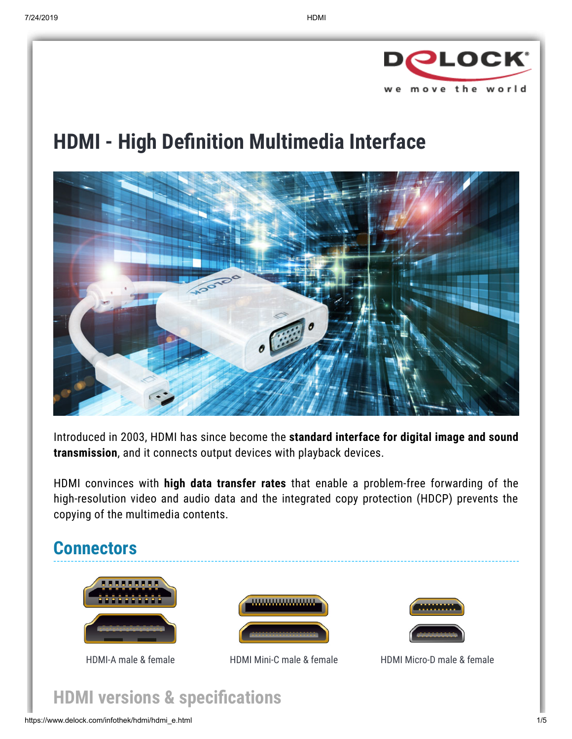

# **HDMI - High Definition Multimedia Interface**



Introduced in 2003, HDMI has since become the **standard interface for digital image and sound transmission**, and it connects output devices with playback devices.

HDMI convinces with **high data transfer rates** that enable a problem-free forwarding of the high-resolution video and audio data and the integrated copy protection (HDCP) prevents the copying of the multimedia contents.



# **HDMI** versions & specifications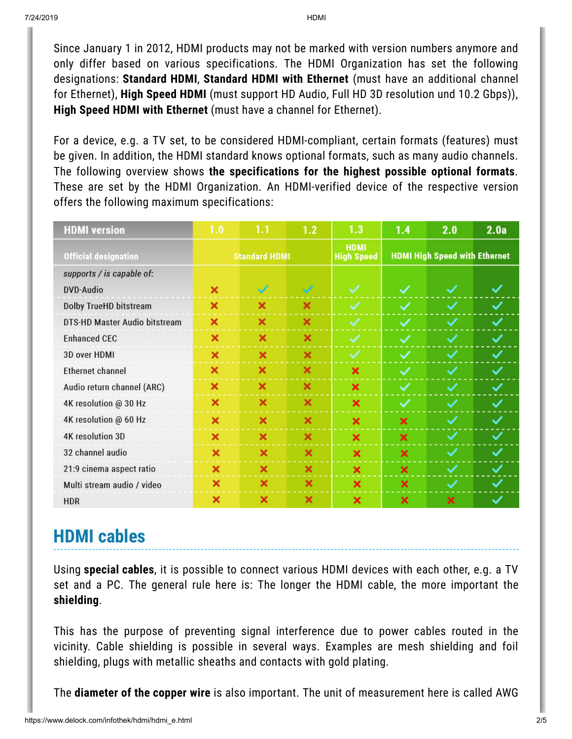Since January 1 in 2012, HDMI products may not be marked with version numbers anymore and only differ based on various specifications. The HDMI Organization has set the following designations: **Standard HDMI**, **Standard HDMI with Ethernet** (must have an additional channel for Ethernet), **High Speed HDMI** (must support HD Audio, Full HD 3D resolution und 10.2 Gbps)), **High Speed HDMI with Ethernet** (must have a channel for Ethernet).

For a device, e.g. a TV set, to be considered HDMI-compliant, certain formats (features) must be given. In addition, the HDMI standard knows optional formats, such as many audio channels. The following overview shows **the specifications for the highest possible optional formats**. These are set by the HDMI Organization. An HDMI-verified device of the respective version offers the following maximum specifications:

| <b>HDMI</b> version           | 1.0                  | 1.1          | 1.2                   | 1.3                              | 1.4                                  | 2.0 | 2.0a |
|-------------------------------|----------------------|--------------|-----------------------|----------------------------------|--------------------------------------|-----|------|
| <b>Official designation</b>   | <b>Standard HDMI</b> |              |                       | <b>HDMI</b><br><b>High Speed</b> | <b>HDMI High Speed with Ethernet</b> |     |      |
| supports / is capable of:     |                      |              |                       |                                  |                                      |     |      |
| DVD-Audio                     | ×                    | $\checkmark$ | $\checkmark$          | $\blacktriangledown$             | ✓                                    | ✓   |      |
| Dolby TrueHD bitstream        | ×                    | ×            | ×                     | ✓                                | ✓                                    | ✓   | ✓    |
| DTS-HD Master Audio bitstream | ×                    | ×            | ×                     | ✓                                | ✓                                    | ✓   | ✓    |
| <b>Enhanced CFC</b>           | ×                    | ×            | ×                     | ✓                                | ✓                                    | ✓   |      |
| 3D over HDMI                  | ×                    | ×            | $\boldsymbol{\times}$ | $\checkmark$                     | ✓                                    | ✓   | ✓    |
| <b>Ethernet channel</b>       | ×                    | ×            | ×                     | ×                                | $\checkmark$                         | ✓   | ✓    |
| Audio return channel (ARC)    | ×                    | ×            | ×                     | ×                                | ✓                                    | ✓   | ✓    |
| 4K resolution @ 30 Hz         | ×                    | ×            | ×                     | ×                                | ✓                                    | ✓   | ✓    |
| 4K resolution @ 60 Hz         | ×                    | ×            | ×                     | ×                                | ×                                    | ✓   | ✓    |
| <b>4K resolution 3D</b>       | ×                    | ×            | $\times$              | ×                                | ×                                    | ✓   | ✓    |
| 32 channel audio              | ×                    | ×            | ×                     | ×                                | $\boldsymbol{\mathsf{x}}$            | ✓   | ✓    |
| 21:9 cinema aspect ratio      | ×                    | ×            | ×                     | ×                                | ×                                    | ✓   | ✓    |
| Multi stream audio / video    | ×                    | ×            | ×                     | ×                                | ×                                    | ✓   |      |
| <b>HDR</b>                    | ×                    | ×            | ×                     | ×                                | ×                                    | ×   | ✓    |

# **HDMI cables**

Using **special cables**, it is possible to connect various HDMI devices with each other, e.g. a TV set and a PC. The general rule here is: The longer the HDMI cable, the more important the **shielding**.

This has the purpose of preventing signal interference due to power cables routed in the vicinity. Cable shielding is possible in several ways. Examples are mesh shielding and foil shielding, plugs with metallic sheaths and contacts with gold plating.

The **diameter of the copper wire** is also important. The unit of measurement here is called AWG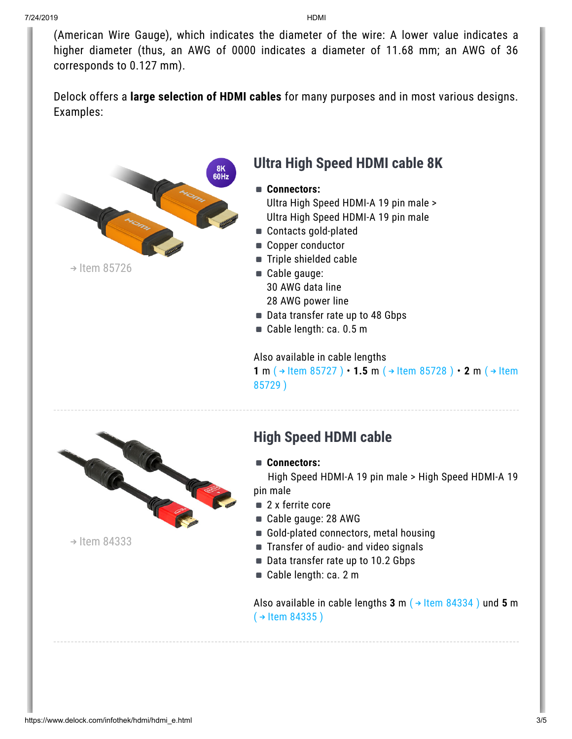(American Wire Gauge), which indicates the diameter of the wire: A lower value indicates a higher diameter (thus, an AWG of 0000 indicates a diameter of 11.68 mm; an AWG of 36 corresponds to 0.127 mm).

Delock offers a **large selection of HDMI cables** for many purposes and in most various designs. Examples:



 $\rightarrow$  Item [85726](http://www.delock.de/produkte/G_85726/merkmale.html?setLanguage=en)

#### **Ultra High Speed HDMI cable 8K**

- **Connectors:** Ultra High Speed HDMI-A 19 pin male > Ultra High Speed HDMI-A 19 pin male
- Contacts gold-plated
- Copper conductor
- Triple shielded cable
- Cable gauge: 30 AWG data line
	- 28 AWG power line
- Data transfer rate up to 48 Gbps
- Cable length: ca. 0.5 m

Also available in cable lengths

**1** m (→ Item [85727](http://www.delock.de/produkte/G_85727/merkmale.html?setLanguage=en) ) • **1.5** m (→ Item [85728](http://www.delock.de/produkte/G_85728/merkmale.html?setLanguage=en) ) • **2** m (→ Item 85729 )



 $\rightarrow$  Item [84333](http://www.delock.de/produkte/G_84333/merkmale.html?setLanguage=en)

### **High Speed HDMI cable**

**Connectors:**

High Speed HDMI-A 19 pin male > High Speed HDMI-A 19 pin male

- 2 x ferrite core
- Cable gauge: 28 AWG
- Gold-plated connectors, metal housing
- Transfer of audio- and video signals
- Data transfer rate up to 10.2 Gbps
- Cable length: ca. 2 m

Also available in cable lengths  $3 \text{ m}$  ( $\rightarrow$  Item [84334](http://www.delock.de/produkte/G_84334/merkmale.html?setLanguage=en)) und  $5 \text{ m}$  $($   $\rightarrow$  ltem [84335](http://www.delock.de/produkte/G_84335/merkmale.html?setLanguage=en))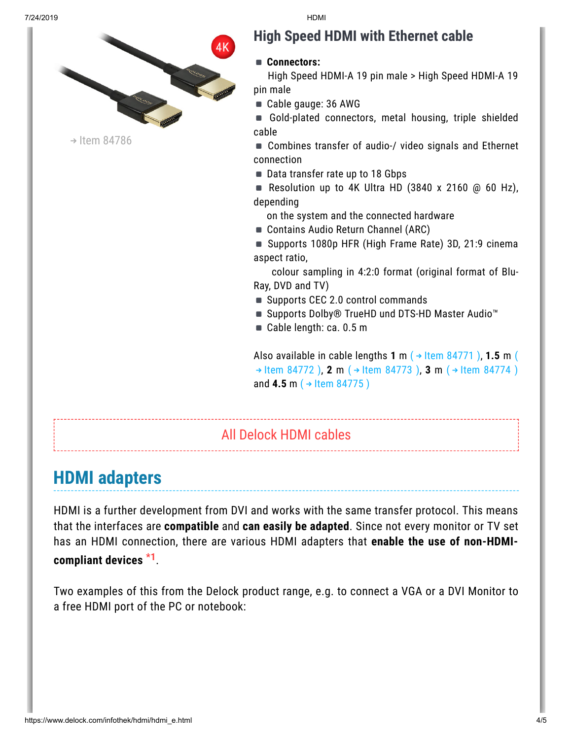

### **High Speed HDMI with Ethernet cable**

#### **Connectors:**

High Speed HDMI-A 19 pin male > High Speed HDMI-A 19 pin male

- Cable gauge: 36 AWG
- Gold-plated connectors, metal housing, triple shielded cable
- Combines transfer of audio-/ video signals and Ethernet connection
- Data transfer rate up to 18 Gbps
- Resolution up to 4K Ultra HD (3840 x 2160  $\omega$  60 Hz), depending
	- on the system and the connected hardware
- Contains Audio Return Channel (ARC)
- Supports 1080p HFR (High Frame Rate) 3D, 21:9 cinema aspect ratio,

colour sampling in 4:2:0 format (original format of Blu-Ray, DVD and TV)

- Supports CEC 2.0 control commands
- Supports Dolby® TrueHD und DTS-HD Master Audio™
- Cable length: ca. 0.5 m

Also [available](http://www.delock.de/produkte/G_84772/merkmale.html?setLanguage=en) in cable lengths  $1 \text{ m}$  ( $\rightarrow$  Item [84771](http://www.delock.de/produkte/G_84771/merkmale.html?setLanguage=en)),  $1.5 \text{ m}$  (  $\rightarrow$  Item 84772 ), **2** m ( $\rightarrow$  Item [84773](http://www.delock.de/produkte/G_84773/merkmale.html?setLanguage=en) ), **3** m ( $\rightarrow$  Item [84774](http://www.delock.de/produkte/G_84774/merkmale.html?setLanguage=en) ) and **4.5** m ( $\rightarrow$  Item [84775](http://www.delock.de/produkte/G_84775/merkmale.html?setLanguage=en))

#### All [Delock](https://www.delock.de/produkte/G_866_HDMI.html?setLanguage=en) HDMI cables

# **HDMI adapters**

HDMI is a further development from DVI and works with the same transfer protocol. This means that the interfaces are **compatible** and **can easily be adapted**. Since not every monitor or TV set has an HDMI connection, there are various HDMI adapters that **enable the use of non-HDMIcompliant devices \*1** .

Two examples of this from the Delock product range, e.g. to connect a VGA or a DVI Monitor to a free HDMI port of the PC or notebook: